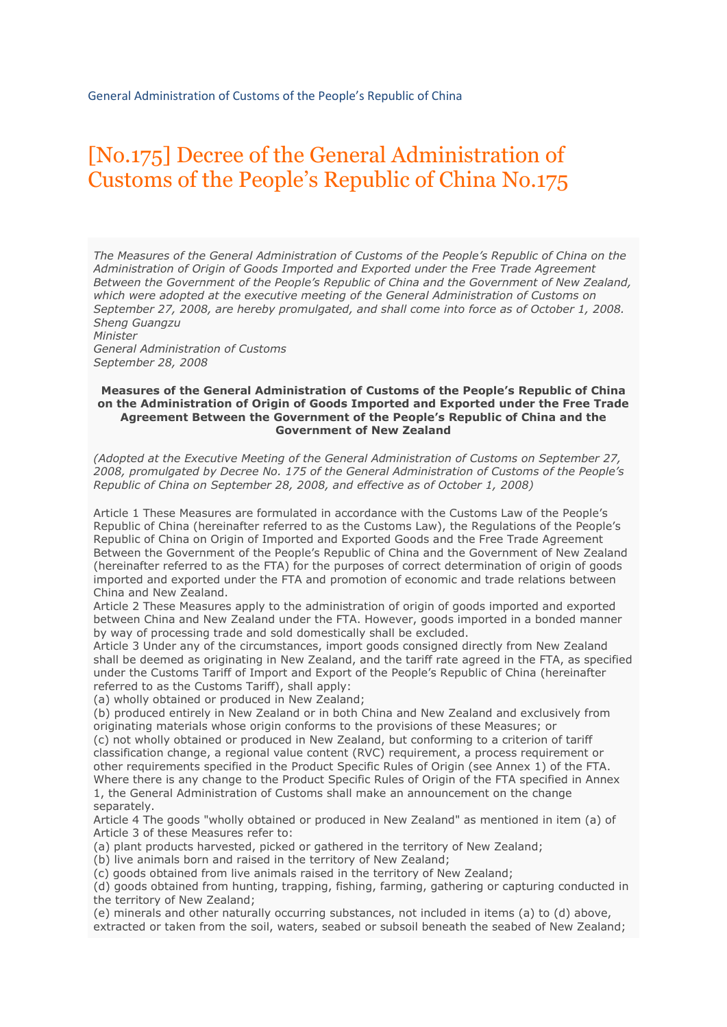# [No.175] Decree of the General Administration of Customs of the People's Republic of China No.175

*The Measures of the General Administration of Customs of the People's Republic of China on the Administration of Origin of Goods Imported and Exported under the Free Trade Agreement Between the Government of the People's Republic of China and the Government of New Zealand, which were adopted at the executive meeting of the General Administration of Customs on September 27, 2008, are hereby promulgated, and shall come into force as of October 1, 2008. Sheng Guangzu Minister*

*General Administration of Customs September 28, 2008*

#### **Measures of the General Administration of Customs of the People's Republic of China on the Administration of Origin of Goods Imported and Exported under the Free Trade Agreement Between the Government of the People's Republic of China and the Government of New Zealand**

*(Adopted at the Executive Meeting of the General Administration of Customs on September 27, 2008, promulgated by Decree No. 175 of the General Administration of Customs of the People's Republic of China on September 28, 2008, and effective as of October 1, 2008)*

Article 1 These Measures are formulated in accordance with the Customs Law of the People's Republic of China (hereinafter referred to as the Customs Law), the Regulations of the People's Republic of China on Origin of Imported and Exported Goods and the Free Trade Agreement Between the Government of the People's Republic of China and the Government of New Zealand (hereinafter referred to as the FTA) for the purposes of correct determination of origin of goods imported and exported under the FTA and promotion of economic and trade relations between China and New Zealand.

Article 2 These Measures apply to the administration of origin of goods imported and exported between China and New Zealand under the FTA. However, goods imported in a bonded manner by way of processing trade and sold domestically shall be excluded.

Article 3 Under any of the circumstances, import goods consigned directly from New Zealand shall be deemed as originating in New Zealand, and the tariff rate agreed in the FTA, as specified under the Customs Tariff of Import and Export of the People's Republic of China (hereinafter referred to as the Customs Tariff), shall apply:

(a) wholly obtained or produced in New Zealand;

(b) produced entirely in New Zealand or in both China and New Zealand and exclusively from originating materials whose origin conforms to the provisions of these Measures; or (c) not wholly obtained or produced in New Zealand, but conforming to a criterion of tariff classification change, a regional value content (RVC) requirement, a process requirement or other requirements specified in the Product Specific Rules of Origin (see Annex 1) of the FTA. Where there is any change to the Product Specific Rules of Origin of the FTA specified in Annex 1, the General Administration of Customs shall make an announcement on the change separately.

Article 4 The goods "wholly obtained or produced in New Zealand" as mentioned in item (a) of Article 3 of these Measures refer to:

(a) plant products harvested, picked or gathered in the territory of New Zealand;

(b) live animals born and raised in the territory of New Zealand;

(c) goods obtained from live animals raised in the territory of New Zealand;

(d) goods obtained from hunting, trapping, fishing, farming, gathering or capturing conducted in the territory of New Zealand;

(e) minerals and other naturally occurring substances, not included in items (a) to (d) above, extracted or taken from the soil, waters, seabed or subsoil beneath the seabed of New Zealand;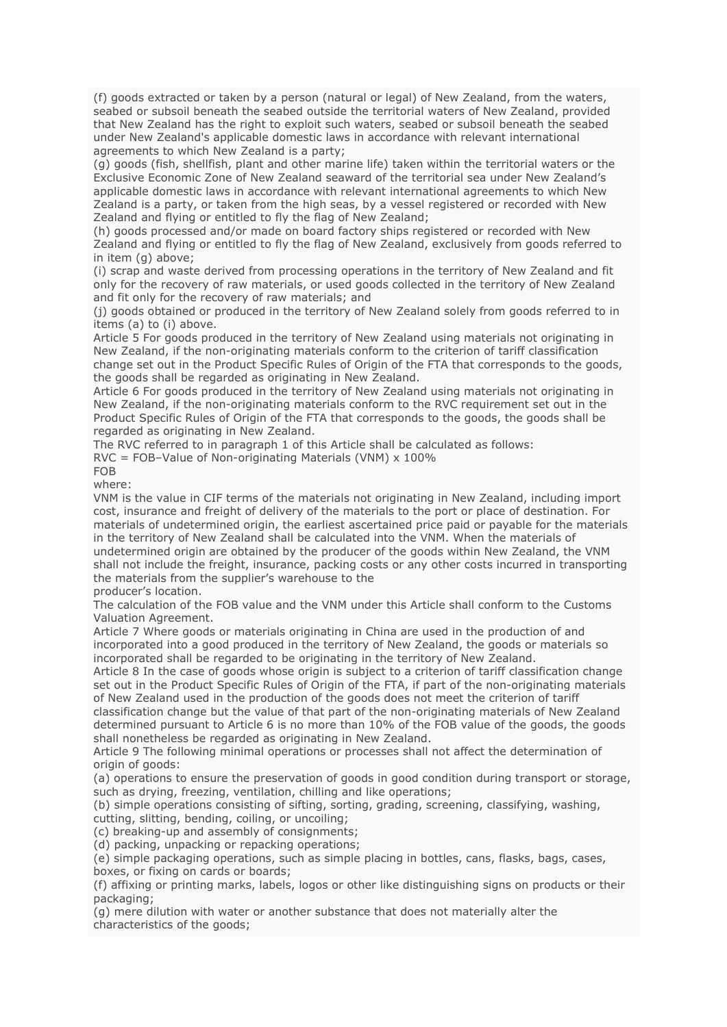(f) goods extracted or taken by a person (natural or legal) of New Zealand, from the waters, seabed or subsoil beneath the seabed outside the territorial waters of New Zealand, provided that New Zealand has the right to exploit such waters, seabed or subsoil beneath the seabed under New Zealand's applicable domestic laws in accordance with relevant international agreements to which New Zealand is a party;

(g) goods (fish, shellfish, plant and other marine life) taken within the territorial waters or the Exclusive Economic Zone of New Zealand seaward of the territorial sea under New Zealand's applicable domestic laws in accordance with relevant international agreements to which New Zealand is a party, or taken from the high seas, by a vessel registered or recorded with New Zealand and flying or entitled to fly the flag of New Zealand;

(h) goods processed and/or made on board factory ships registered or recorded with New Zealand and flying or entitled to fly the flag of New Zealand, exclusively from goods referred to in item (g) above;

(i) scrap and waste derived from processing operations in the territory of New Zealand and fit only for the recovery of raw materials, or used goods collected in the territory of New Zealand and fit only for the recovery of raw materials; and

(j) goods obtained or produced in the territory of New Zealand solely from goods referred to in items (a) to (i) above.

Article 5 For goods produced in the territory of New Zealand using materials not originating in New Zealand, if the non-originating materials conform to the criterion of tariff classification change set out in the Product Specific Rules of Origin of the FTA that corresponds to the goods, the goods shall be regarded as originating in New Zealand.

Article 6 For goods produced in the territory of New Zealand using materials not originating in New Zealand, if the non-originating materials conform to the RVC requirement set out in the Product Specific Rules of Origin of the FTA that corresponds to the goods, the goods shall be regarded as originating in New Zealand.

The RVC referred to in paragraph 1 of this Article shall be calculated as follows:

RVC = FOB–Value of Non-originating Materials (VNM) x 100%

FOB where:

VNM is the value in CIF terms of the materials not originating in New Zealand, including import cost, insurance and freight of delivery of the materials to the port or place of destination. For materials of undetermined origin, the earliest ascertained price paid or payable for the materials in the territory of New Zealand shall be calculated into the VNM. When the materials of undetermined origin are obtained by the producer of the goods within New Zealand, the VNM shall not include the freight, insurance, packing costs or any other costs incurred in transporting the materials from the supplier's warehouse to the

producer's location.

The calculation of the FOB value and the VNM under this Article shall conform to the Customs Valuation Agreement.

Article 7 Where goods or materials originating in China are used in the production of and incorporated into a good produced in the territory of New Zealand, the goods or materials so incorporated shall be regarded to be originating in the territory of New Zealand.

Article 8 In the case of goods whose origin is subject to a criterion of tariff classification change set out in the Product Specific Rules of Origin of the FTA, if part of the non-originating materials of New Zealand used in the production of the goods does not meet the criterion of tariff

classification change but the value of that part of the non-originating materials of New Zealand determined pursuant to Article 6 is no more than 10% of the FOB value of the goods, the goods shall nonetheless be regarded as originating in New Zealand.

Article 9 The following minimal operations or processes shall not affect the determination of origin of goods:

(a) operations to ensure the preservation of goods in good condition during transport or storage, such as drying, freezing, ventilation, chilling and like operations;

(b) simple operations consisting of sifting, sorting, grading, screening, classifying, washing, cutting, slitting, bending, coiling, or uncoiling;

(c) breaking-up and assembly of consignments;

(d) packing, unpacking or repacking operations;

(e) simple packaging operations, such as simple placing in bottles, cans, flasks, bags, cases, boxes, or fixing on cards or boards;

(f) affixing or printing marks, labels, logos or other like distinguishing signs on products or their packaging;

(g) mere dilution with water or another substance that does not materially alter the characteristics of the goods;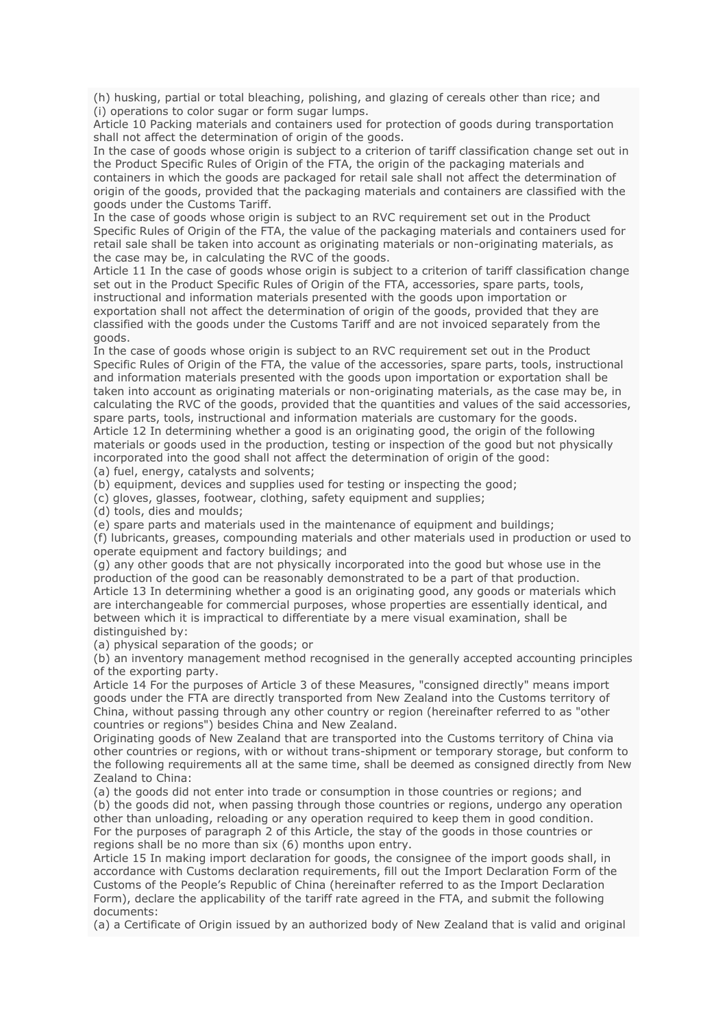(h) husking, partial or total bleaching, polishing, and glazing of cereals other than rice; and (i) operations to color sugar or form sugar lumps.

Article 10 Packing materials and containers used for protection of goods during transportation shall not affect the determination of origin of the goods.

In the case of goods whose origin is subject to a criterion of tariff classification change set out in the Product Specific Rules of Origin of the FTA, the origin of the packaging materials and containers in which the goods are packaged for retail sale shall not affect the determination of origin of the goods, provided that the packaging materials and containers are classified with the goods under the Customs Tariff.

In the case of goods whose origin is subject to an RVC requirement set out in the Product Specific Rules of Origin of the FTA, the value of the packaging materials and containers used for retail sale shall be taken into account as originating materials or non-originating materials, as the case may be, in calculating the RVC of the goods.

Article 11 In the case of goods whose origin is subject to a criterion of tariff classification change set out in the Product Specific Rules of Origin of the FTA, accessories, spare parts, tools, instructional and information materials presented with the goods upon importation or exportation shall not affect the determination of origin of the goods, provided that they are classified with the goods under the Customs Tariff and are not invoiced separately from the goods.

In the case of goods whose origin is subject to an RVC requirement set out in the Product Specific Rules of Origin of the FTA, the value of the accessories, spare parts, tools, instructional and information materials presented with the goods upon importation or exportation shall be taken into account as originating materials or non-originating materials, as the case may be, in calculating the RVC of the goods, provided that the quantities and values of the said accessories, spare parts, tools, instructional and information materials are customary for the goods. Article 12 In determining whether a good is an originating good, the origin of the following materials or goods used in the production, testing or inspection of the good but not physically incorporated into the good shall not affect the determination of origin of the good:

(a) fuel, energy, catalysts and solvents;

(b) equipment, devices and supplies used for testing or inspecting the good;

(c) gloves, glasses, footwear, clothing, safety equipment and supplies;

(d) tools, dies and moulds;

(e) spare parts and materials used in the maintenance of equipment and buildings;

(f) lubricants, greases, compounding materials and other materials used in production or used to operate equipment and factory buildings; and

(g) any other goods that are not physically incorporated into the good but whose use in the production of the good can be reasonably demonstrated to be a part of that production. Article 13 In determining whether a good is an originating good, any goods or materials which are interchangeable for commercial purposes, whose properties are essentially identical, and between which it is impractical to differentiate by a mere visual examination, shall be distinguished by:

(a) physical separation of the goods; or

(b) an inventory management method recognised in the generally accepted accounting principles of the exporting party.

Article 14 For the purposes of Article 3 of these Measures, "consigned directly" means import goods under the FTA are directly transported from New Zealand into the Customs territory of China, without passing through any other country or region (hereinafter referred to as "other countries or regions") besides China and New Zealand.

Originating goods of New Zealand that are transported into the Customs territory of China via other countries or regions, with or without trans-shipment or temporary storage, but conform to the following requirements all at the same time, shall be deemed as consigned directly from New Zealand to China:

(a) the goods did not enter into trade or consumption in those countries or regions; and (b) the goods did not, when passing through those countries or regions, undergo any operation other than unloading, reloading or any operation required to keep them in good condition. For the purposes of paragraph 2 of this Article, the stay of the goods in those countries or regions shall be no more than six (6) months upon entry.

Article 15 In making import declaration for goods, the consignee of the import goods shall, in accordance with Customs declaration requirements, fill out the Import Declaration Form of the Customs of the People's Republic of China (hereinafter referred to as the Import Declaration Form), declare the applicability of the tariff rate agreed in the FTA, and submit the following documents:

(a) a Certificate of Origin issued by an authorized body of New Zealand that is valid and original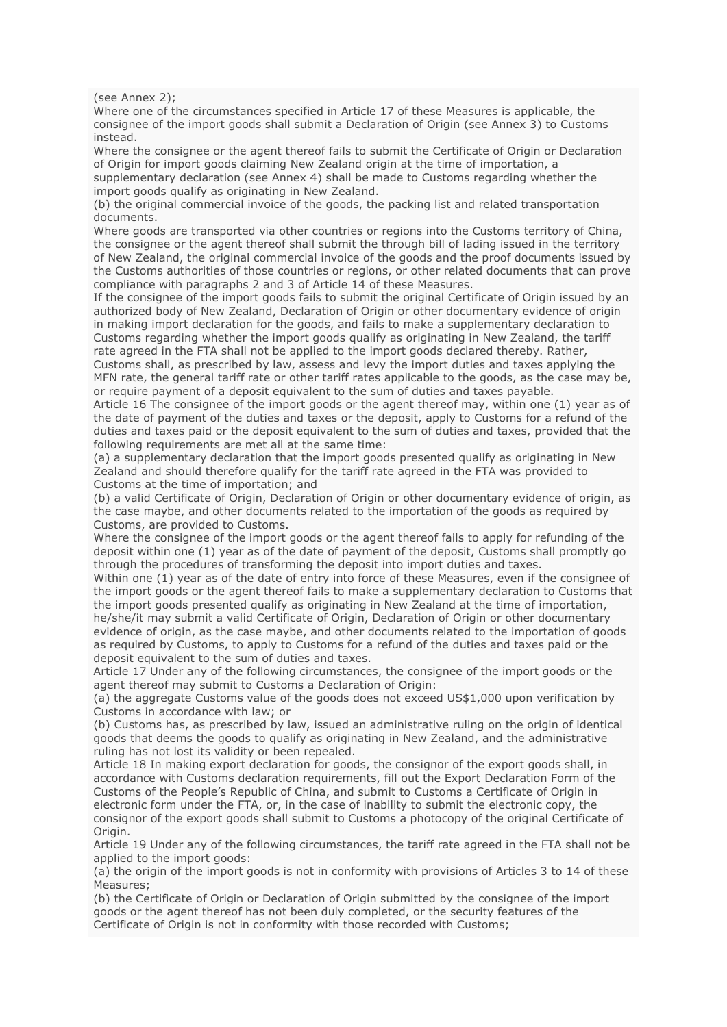(see Annex 2);

Where one of the circumstances specified in Article 17 of these Measures is applicable, the consignee of the import goods shall submit a Declaration of Origin (see Annex 3) to Customs instead.

Where the consignee or the agent thereof fails to submit the Certificate of Origin or Declaration of Origin for import goods claiming New Zealand origin at the time of importation, a supplementary declaration (see Annex 4) shall be made to Customs regarding whether the import goods qualify as originating in New Zealand.

(b) the original commercial invoice of the goods, the packing list and related transportation documents.

Where goods are transported via other countries or regions into the Customs territory of China, the consignee or the agent thereof shall submit the through bill of lading issued in the territory of New Zealand, the original commercial invoice of the goods and the proof documents issued by the Customs authorities of those countries or regions, or other related documents that can prove compliance with paragraphs 2 and 3 of Article 14 of these Measures.

If the consignee of the import goods fails to submit the original Certificate of Origin issued by an authorized body of New Zealand, Declaration of Origin or other documentary evidence of origin in making import declaration for the goods, and fails to make a supplementary declaration to Customs regarding whether the import goods qualify as originating in New Zealand, the tariff rate agreed in the FTA shall not be applied to the import goods declared thereby. Rather,

Customs shall, as prescribed by law, assess and levy the import duties and taxes applying the MFN rate, the general tariff rate or other tariff rates applicable to the goods, as the case may be, or require payment of a deposit equivalent to the sum of duties and taxes payable.

Article 16 The consignee of the import goods or the agent thereof may, within one (1) year as of the date of payment of the duties and taxes or the deposit, apply to Customs for a refund of the duties and taxes paid or the deposit equivalent to the sum of duties and taxes, provided that the following requirements are met all at the same time:

(a) a supplementary declaration that the import goods presented qualify as originating in New Zealand and should therefore qualify for the tariff rate agreed in the FTA was provided to Customs at the time of importation; and

(b) a valid Certificate of Origin, Declaration of Origin or other documentary evidence of origin, as the case maybe, and other documents related to the importation of the goods as required by Customs, are provided to Customs.

Where the consignee of the import goods or the agent thereof fails to apply for refunding of the deposit within one (1) year as of the date of payment of the deposit, Customs shall promptly go through the procedures of transforming the deposit into import duties and taxes.

Within one (1) year as of the date of entry into force of these Measures, even if the consignee of the import goods or the agent thereof fails to make a supplementary declaration to Customs that the import goods presented qualify as originating in New Zealand at the time of importation, he/she/it may submit a valid Certificate of Origin, Declaration of Origin or other documentary evidence of origin, as the case maybe, and other documents related to the importation of goods as required by Customs, to apply to Customs for a refund of the duties and taxes paid or the deposit equivalent to the sum of duties and taxes.

Article 17 Under any of the following circumstances, the consignee of the import goods or the agent thereof may submit to Customs a Declaration of Origin:

(a) the aggregate Customs value of the goods does not exceed US\$1,000 upon verification by Customs in accordance with law; or

(b) Customs has, as prescribed by law, issued an administrative ruling on the origin of identical goods that deems the goods to qualify as originating in New Zealand, and the administrative ruling has not lost its validity or been repealed.

Article 18 In making export declaration for goods, the consignor of the export goods shall, in accordance with Customs declaration requirements, fill out the Export Declaration Form of the Customs of the People's Republic of China, and submit to Customs a Certificate of Origin in electronic form under the FTA, or, in the case of inability to submit the electronic copy, the consignor of the export goods shall submit to Customs a photocopy of the original Certificate of Origin.

Article 19 Under any of the following circumstances, the tariff rate agreed in the FTA shall not be applied to the import goods:

(a) the origin of the import goods is not in conformity with provisions of Articles 3 to 14 of these Measures;

(b) the Certificate of Origin or Declaration of Origin submitted by the consignee of the import goods or the agent thereof has not been duly completed, or the security features of the Certificate of Origin is not in conformity with those recorded with Customs;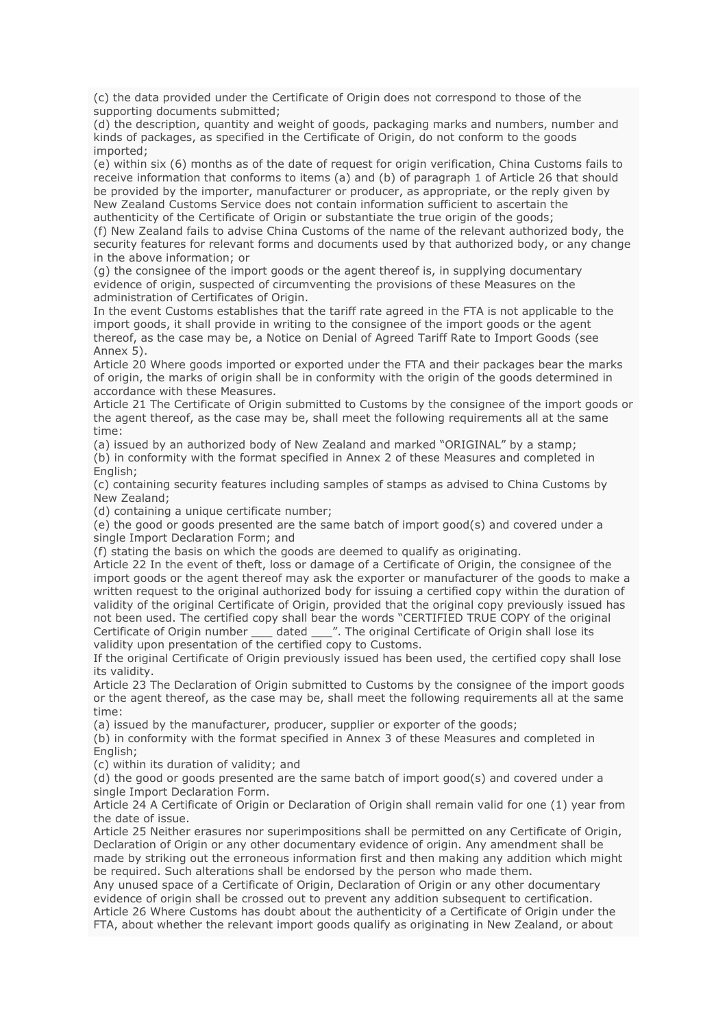(c) the data provided under the Certificate of Origin does not correspond to those of the supporting documents submitted;

(d) the description, quantity and weight of goods, packaging marks and numbers, number and kinds of packages, as specified in the Certificate of Origin, do not conform to the goods imported;

(e) within six (6) months as of the date of request for origin verification, China Customs fails to receive information that conforms to items (a) and (b) of paragraph 1 of Article 26 that should be provided by the importer, manufacturer or producer, as appropriate, or the reply given by New Zealand Customs Service does not contain information sufficient to ascertain the authenticity of the Certificate of Origin or substantiate the true origin of the goods;

(f) New Zealand fails to advise China Customs of the name of the relevant authorized body, the security features for relevant forms and documents used by that authorized body, or any change in the above information; or

(g) the consignee of the import goods or the agent thereof is, in supplying documentary evidence of origin, suspected of circumventing the provisions of these Measures on the administration of Certificates of Origin.

In the event Customs establishes that the tariff rate agreed in the FTA is not applicable to the import goods, it shall provide in writing to the consignee of the import goods or the agent thereof, as the case may be, a Notice on Denial of Agreed Tariff Rate to Import Goods (see Annex 5).

Article 20 Where goods imported or exported under the FTA and their packages bear the marks of origin, the marks of origin shall be in conformity with the origin of the goods determined in accordance with these Measures.

Article 21 The Certificate of Origin submitted to Customs by the consignee of the import goods or the agent thereof, as the case may be, shall meet the following requirements all at the same time:

(a) issued by an authorized body of New Zealand and marked "ORIGINAL" by a stamp; (b) in conformity with the format specified in Annex 2 of these Measures and completed in English;

(c) containing security features including samples of stamps as advised to China Customs by New Zealand;

(d) containing a unique certificate number;

(e) the good or goods presented are the same batch of import good(s) and covered under a single Import Declaration Form; and

(f) stating the basis on which the goods are deemed to qualify as originating.

Article 22 In the event of theft, loss or damage of a Certificate of Origin, the consignee of the import goods or the agent thereof may ask the exporter or manufacturer of the goods to make a written request to the original authorized body for issuing a certified copy within the duration of validity of the original Certificate of Origin, provided that the original copy previously issued has not been used. The certified copy shall bear the words "CERTIFIED TRUE COPY of the original Certificate of Origin number \_\_\_ dated \_\_\_". The original Certificate of Origin shall lose its validity upon presentation of the certified copy to Customs.

If the original Certificate of Origin previously issued has been used, the certified copy shall lose its validity.

Article 23 The Declaration of Origin submitted to Customs by the consignee of the import goods or the agent thereof, as the case may be, shall meet the following requirements all at the same time:

(a) issued by the manufacturer, producer, supplier or exporter of the goods;

(b) in conformity with the format specified in Annex 3 of these Measures and completed in English;

(c) within its duration of validity; and

(d) the good or goods presented are the same batch of import good(s) and covered under a single Import Declaration Form.

Article 24 A Certificate of Origin or Declaration of Origin shall remain valid for one (1) year from the date of issue.

Article 25 Neither erasures nor superimpositions shall be permitted on any Certificate of Origin, Declaration of Origin or any other documentary evidence of origin. Any amendment shall be made by striking out the erroneous information first and then making any addition which might be required. Such alterations shall be endorsed by the person who made them.

Any unused space of a Certificate of Origin, Declaration of Origin or any other documentary evidence of origin shall be crossed out to prevent any addition subsequent to certification. Article 26 Where Customs has doubt about the authenticity of a Certificate of Origin under the FTA, about whether the relevant import goods qualify as originating in New Zealand, or about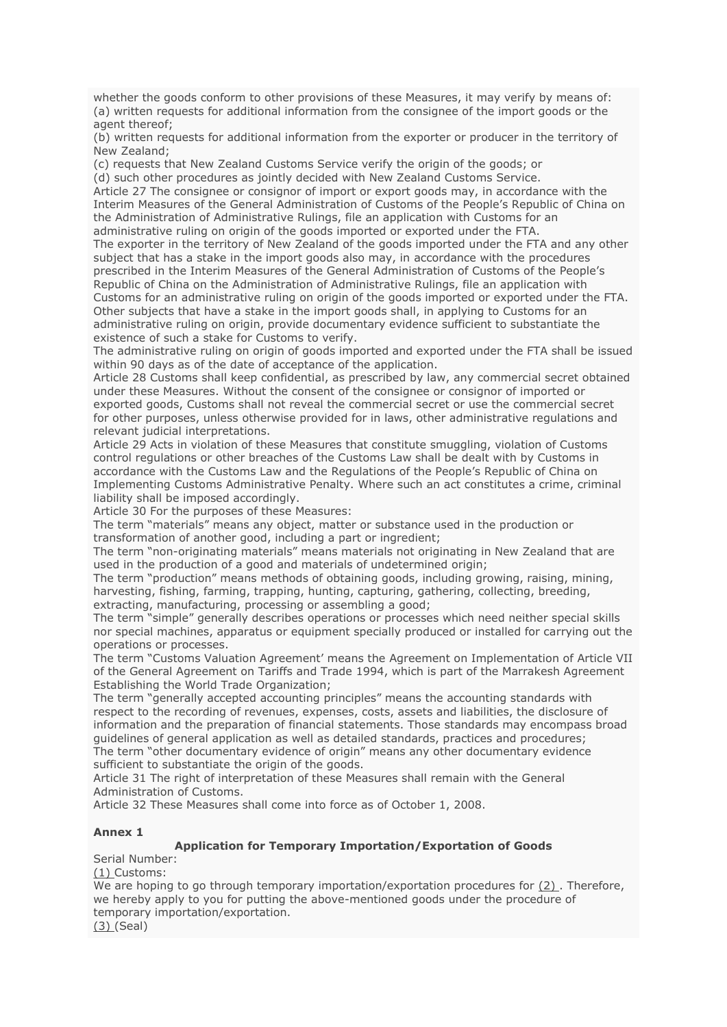whether the goods conform to other provisions of these Measures, it may verify by means of: (a) written requests for additional information from the consignee of the import goods or the agent thereof;

(b) written requests for additional information from the exporter or producer in the territory of New Zealand;

(c) requests that New Zealand Customs Service verify the origin of the goods; or (d) such other procedures as jointly decided with New Zealand Customs Service. Article 27 The consignee or consignor of import or export goods may, in accordance with the Interim Measures of the General Administration of Customs of the People's Republic of China on the Administration of Administrative Rulings, file an application with Customs for an administrative ruling on origin of the goods imported or exported under the FTA. The exporter in the territory of New Zealand of the goods imported under the FTA and any other subject that has a stake in the import goods also may, in accordance with the procedures prescribed in the Interim Measures of the General Administration of Customs of the People's Republic of China on the Administration of Administrative Rulings, file an application with Customs for an administrative ruling on origin of the goods imported or exported under the FTA. Other subjects that have a stake in the import goods shall, in applying to Customs for an

administrative ruling on origin, provide documentary evidence sufficient to substantiate the existence of such a stake for Customs to verify.

The administrative ruling on origin of goods imported and exported under the FTA shall be issued within 90 days as of the date of acceptance of the application.

Article 28 Customs shall keep confidential, as prescribed by law, any commercial secret obtained under these Measures. Without the consent of the consignee or consignor of imported or exported goods, Customs shall not reveal the commercial secret or use the commercial secret for other purposes, unless otherwise provided for in laws, other administrative regulations and relevant judicial interpretations.

Article 29 Acts in violation of these Measures that constitute smuggling, violation of Customs control regulations or other breaches of the Customs Law shall be dealt with by Customs in accordance with the Customs Law and the Regulations of the People's Republic of China on Implementing Customs Administrative Penalty. Where such an act constitutes a crime, criminal liability shall be imposed accordingly.

Article 30 For the purposes of these Measures:

The term "materials" means any object, matter or substance used in the production or transformation of another good, including a part or ingredient;

The term "non-originating materials" means materials not originating in New Zealand that are used in the production of a good and materials of undetermined origin;

The term "production" means methods of obtaining goods, including growing, raising, mining, harvesting, fishing, farming, trapping, hunting, capturing, gathering, collecting, breeding, extracting, manufacturing, processing or assembling a good;

The term "simple" generally describes operations or processes which need neither special skills nor special machines, apparatus or equipment specially produced or installed for carrying out the operations or processes.

The term "Customs Valuation Agreement' means the Agreement on Implementation of Article VII of the General Agreement on Tariffs and Trade 1994, which is part of the Marrakesh Agreement Establishing the World Trade Organization;

The term "generally accepted accounting principles" means the accounting standards with respect to the recording of revenues, expenses, costs, assets and liabilities, the disclosure of information and the preparation of financial statements. Those standards may encompass broad guidelines of general application as well as detailed standards, practices and procedures; The term "other documentary evidence of origin" means any other documentary evidence sufficient to substantiate the origin of the goods.

Article 31 The right of interpretation of these Measures shall remain with the General Administration of Customs.

Article 32 These Measures shall come into force as of October 1, 2008.

### **Annex 1**

# **Application for Temporary Importation/Exportation of Goods**

Serial Number:

(1) Customs:

We are hoping to go through temporary importation/exportation procedures for  $(2)$ . Therefore, we hereby apply to you for putting the above-mentioned goods under the procedure of temporary importation/exportation.

(3) (Seal)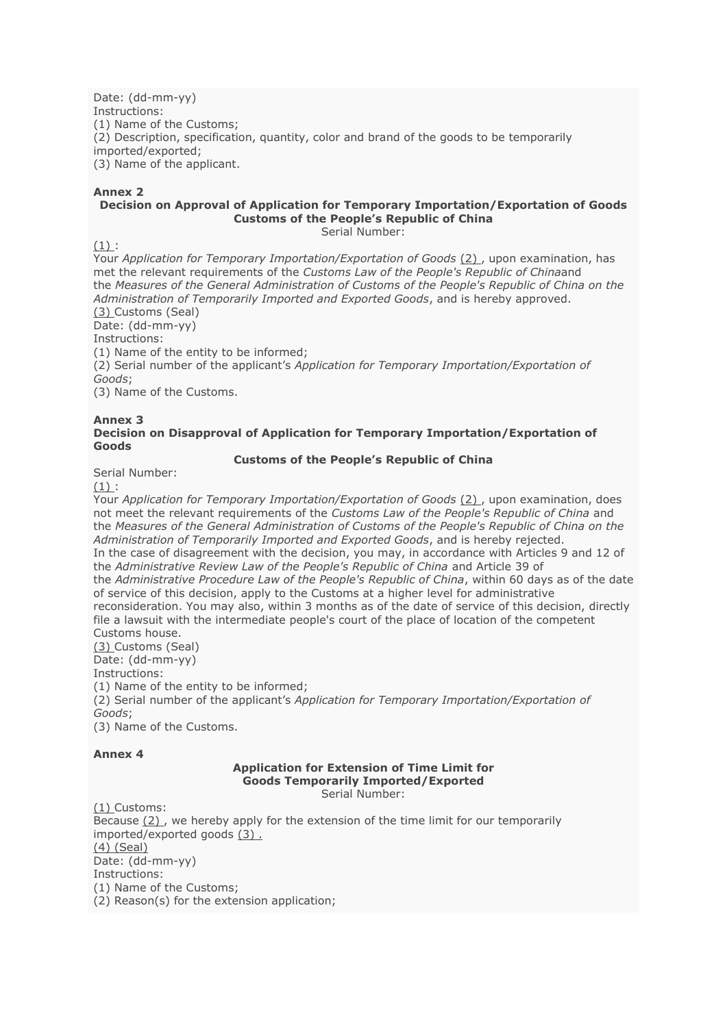Date: (dd-mm-yy) Instructions: (1) Name of the Customs; (2) Description, specification, quantity, color and brand of the goods to be temporarily imported/exported; (3) Name of the applicant.

# **Annex 2**

## **Decision on Approval of Application for Temporary Importation/Exportation of Goods Customs of the People's Republic of China**

Serial Number:

 $(1)$ :

Your *Application for Temporary Importation/Exportation of Goods* (2) , upon examination, has met the relevant requirements of the *Customs Law of the People's Republic of China*and the *Measures of the General Administration of Customs of the People's Republic of China on the Administration of Temporarily Imported and Exported Goods*, and is hereby approved. (3) Customs (Seal)

Date: (dd-mm-yy)

Instructions:

(1) Name of the entity to be informed;

(2) Serial number of the applicant's *Application for Temporary Importation/Exportation of Goods*;

(3) Name of the Customs.

#### **Annex 3 Decision on Disapproval of Application for Temporary Importation/Exportation of Goods**

## **Customs of the People's Republic of China**

Serial Number:

 $(1)$ :

Your *Application for Temporary Importation/Exportation of Goods* (2) , upon examination, does not meet the relevant requirements of the *Customs Law of the People's Republic of China* and the *Measures of the General Administration of Customs of the People's Republic of China on the Administration of Temporarily Imported and Exported Goods*, and is hereby rejected. In the case of disagreement with the decision, you may, in accordance with Articles 9 and 12 of the *Administrative Review Law of the People's Republic of China* and Article 39 of the *Administrative Procedure Law of the People's Republic of China*, within 60 days as of the date of service of this decision, apply to the Customs at a higher level for administrative reconsideration. You may also, within 3 months as of the date of service of this decision, directly file a lawsuit with the intermediate people's court of the place of location of the competent Customs house. (3) Customs (Seal)

Date: (dd-mm-yy)

Instructions:

(1) Name of the entity to be informed;

(2) Serial number of the applicant's *Application for Temporary Importation/Exportation of Goods*;

(3) Name of the Customs.

### **Annex 4**

#### **Application for Extension of Time Limit for Goods Temporarily Imported/Exported** Serial Number:

(1) Customs: Because  $(2)$ , we hereby apply for the extension of the time limit for our temporarily imported/exported goods (3) . (4) (Seal) Date: (dd-mm-yy) Instructions: (1) Name of the Customs; (2) Reason(s) for the extension application;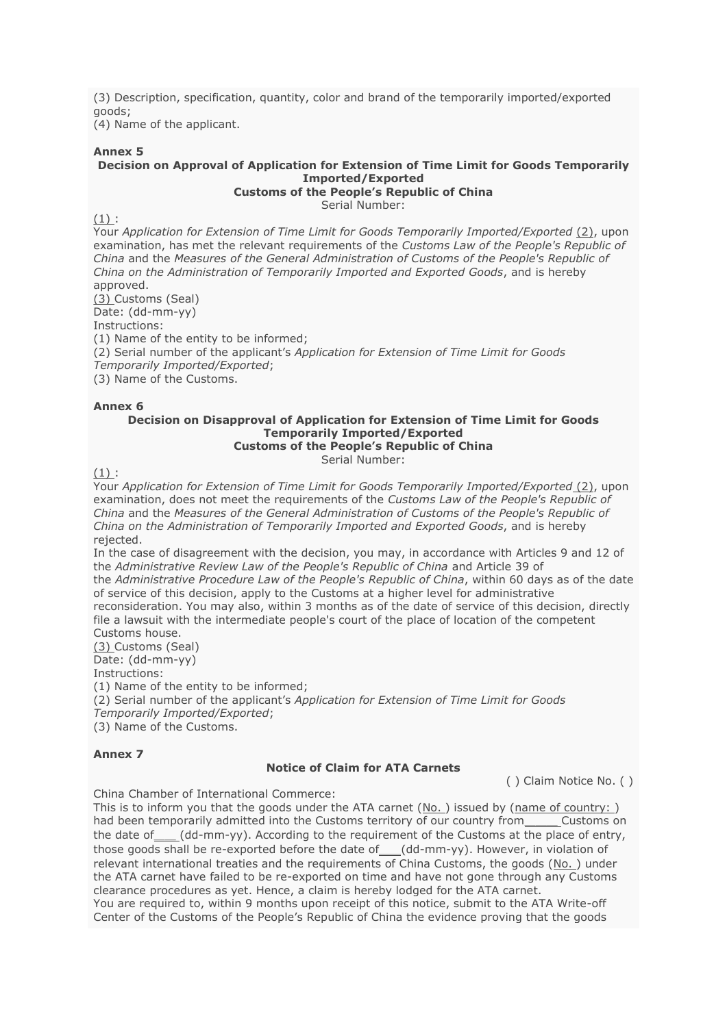(3) Description, specification, quantity, color and brand of the temporarily imported/exported goods;

(4) Name of the applicant.

### **Annex 5**

 $(1):$ 

## **Decision on Approval of Application for Extension of Time Limit for Goods Temporarily Imported/Exported**

**Customs of the People's Republic of China**

Serial Number:

Your *Application for Extension of Time Limit for Goods Temporarily Imported/Exported* (2), upon examination, has met the relevant requirements of the *Customs Law of the People's Republic of China* and the *Measures of the General Administration of Customs of the People's Republic of China on the Administration of Temporarily Imported and Exported Goods*, and is hereby approved.

(3) Customs (Seal) Date: (dd-mm-yy) Instructions:

(1) Name of the entity to be informed;

(2) Serial number of the applicant's *Application for Extension of Time Limit for Goods* 

*Temporarily Imported/Exported*;

(3) Name of the Customs.

## **Annex 6**

#### **Decision on Disapproval of Application for Extension of Time Limit for Goods Temporarily Imported/Exported Customs of the People's Republic of China**

Serial Number:

 $(1)$ :

Your *Application for Extension of Time Limit for Goods Temporarily Imported/Exported* (2), upon examination, does not meet the requirements of the *Customs Law of the People's Republic of China* and the *Measures of the General Administration of Customs of the People's Republic of China on the Administration of Temporarily Imported and Exported Goods*, and is hereby rejected.

In the case of disagreement with the decision, you may, in accordance with Articles 9 and 12 of the *Administrative Review Law of the People's Republic of China* and Article 39 of the *Administrative Procedure Law of the People's Republic of China*, within 60 days as of the date of service of this decision, apply to the Customs at a higher level for administrative

reconsideration. You may also, within 3 months as of the date of service of this decision, directly file a lawsuit with the intermediate people's court of the place of location of the competent Customs house.

(3) Customs (Seal)

Date: (dd-mm-yy)

Instructions:

(1) Name of the entity to be informed;

(2) Serial number of the applicant's *Application for Extension of Time Limit for Goods Temporarily Imported/Exported*;

(3) Name of the Customs.

# **Annex 7**

### **Notice of Claim for ATA Carnets**

( ) Claim Notice No. ( )

China Chamber of International Commerce:

This is to inform you that the goods under the ATA carnet (No. ) issued by (name of country: ) had been temporarily admitted into the Customs territory of our country from \_\_\_\_\_ Customs on the date of (dd-mm-yy). According to the requirement of the Customs at the place of entry, those goods shall be re-exported before the date of (dd-mm-yy). However, in violation of relevant international treaties and the requirements of China Customs, the goods (No. ) under the ATA carnet have failed to be re-exported on time and have not gone through any Customs clearance procedures as yet. Hence, a claim is hereby lodged for the ATA carnet. You are required to, within 9 months upon receipt of this notice, submit to the ATA Write-off Center of the Customs of the People's Republic of China the evidence proving that the goods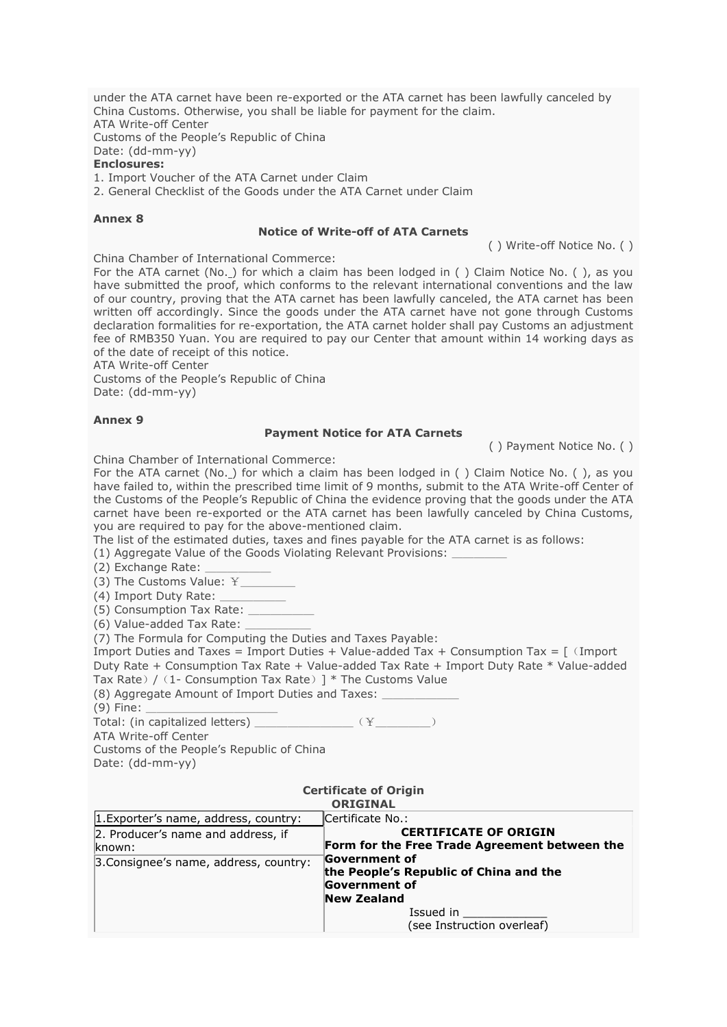under the ATA carnet have been re-exported or the ATA carnet has been lawfully canceled by China Customs. Otherwise, you shall be liable for payment for the claim. ATA Write-off Center Customs of the People's Republic of China Date: (dd-mm-yy) **Enclosures:**

1. Import Voucher of the ATA Carnet under Claim

2. General Checklist of the Goods under the ATA Carnet under Claim

#### **Annex 8**

#### **Notice of Write-off of ATA Carnets**

( ) Write-off Notice No. ( )

China Chamber of International Commerce:

For the ATA carnet (No. ) for which a claim has been lodged in () Claim Notice No. (), as you have submitted the proof, which conforms to the relevant international conventions and the law of our country, proving that the ATA carnet has been lawfully canceled, the ATA carnet has been written off accordingly. Since the goods under the ATA carnet have not gone through Customs declaration formalities for re-exportation, the ATA carnet holder shall pay Customs an adjustment fee of RMB350 Yuan. You are required to pay our Center that amount within 14 working days as of the date of receipt of this notice.

ATA Write-off Center

Customs of the People's Republic of China Date: (dd-mm-yy)

## **Annex 9**

### **Payment Notice for ATA Carnets**

( ) Payment Notice No. ( )

China Chamber of International Commerce:

For the ATA carnet (No. ) for which a claim has been lodged in () Claim Notice No. (), as you have failed to, within the prescribed time limit of 9 months, submit to the ATA Write-off Center of the Customs of the People's Republic of China the evidence proving that the goods under the ATA carnet have been re-exported or the ATA carnet has been lawfully canceled by China Customs, you are required to pay for the above-mentioned claim.

The list of the estimated duties, taxes and fines payable for the ATA carnet is as follows:

(1) Aggregate Value of the Goods Violating Relevant Provisions: \_\_\_\_\_

(2) Exchange Rate: \_\_\_\_\_\_

(3) The Customs Value: ¥

(4) Import Duty Rate:

(5) Consumption Tax Rate:

(6) Value-added Tax Rate:

(7) The Formula for Computing the Duties and Taxes Payable:

Import Duties and Taxes = Import Duties + Value-added Tax + Consumption Tax =  $\lceil$  (Import Duty Rate + Consumption Tax Rate + Value-added Tax Rate + Import Duty Rate \* Value-added Tax Rate) /  $(1-$  Consumption Tax Rate) ]  $*$  The Customs Value

(8) Aggregate Amount of Import Duties and Taxes:

(9) Fine: \_\_\_\_\_\_\_\_\_\_\_\_

Total: (in capitalized letters)  $\frac{1}{2}$  ( $\frac{1}{2}$ 

ATA Write-off Center

Customs of the People's Republic of China

Date: (dd-mm-yy)

## **Certificate of Origin**

| <b>ORIGINAL</b>                        |                                               |  |  |  |
|----------------------------------------|-----------------------------------------------|--|--|--|
| 1. Exporter's name, address, country:  | Certificate No.:                              |  |  |  |
| 2. Producer's name and address, if     | <b>CERTIFICATE OF ORIGIN</b>                  |  |  |  |
| known:                                 | Form for the Free Trade Agreement between the |  |  |  |
| 3. Consignee's name, address, country: | <b>Government of</b>                          |  |  |  |
|                                        | the People's Republic of China and the        |  |  |  |
|                                        | Government of                                 |  |  |  |
|                                        | <b>New Zealand</b>                            |  |  |  |
|                                        | Issued in                                     |  |  |  |
|                                        | (see Instruction overleaf)                    |  |  |  |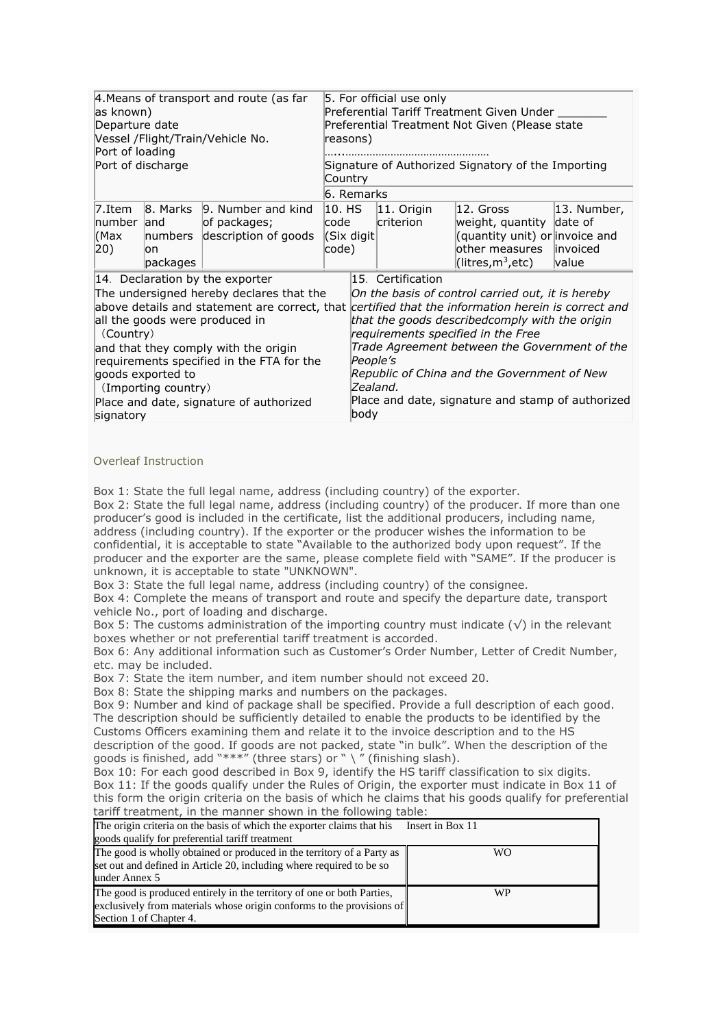| 4. Means of transport and route (as far<br>as known)<br>Departure date<br>Vessel /Flight/Train/Vehicle No.<br>Port of loading<br>Port of discharge                                                                                                                                                                                                                                                                               |                             | 5. For official use only<br>Preferential Tariff Treatment Given Under<br>Preferential Treatment Not Given (Please state<br>reasons)<br>Signature of Authorized Signatory of the Importing<br>Country |                                           |                              |                            |                                                                                                                                                                                                                                                                                                |                                          |
|----------------------------------------------------------------------------------------------------------------------------------------------------------------------------------------------------------------------------------------------------------------------------------------------------------------------------------------------------------------------------------------------------------------------------------|-----------------------------|------------------------------------------------------------------------------------------------------------------------------------------------------------------------------------------------------|-------------------------------------------|------------------------------|----------------------------|------------------------------------------------------------------------------------------------------------------------------------------------------------------------------------------------------------------------------------------------------------------------------------------------|------------------------------------------|
|                                                                                                                                                                                                                                                                                                                                                                                                                                  |                             |                                                                                                                                                                                                      | 6. Remarks                                |                              |                            |                                                                                                                                                                                                                                                                                                |                                          |
| $7.$ Item<br>number land<br>(Max<br>$ 20\rangle$                                                                                                                                                                                                                                                                                                                                                                                 | numbers<br>lon.<br>packages | 8. Marks 9. Number and kind<br>of packages;<br>description of goods                                                                                                                                  | $ 10.$ HS<br>lcode<br>(Six digit<br>code) |                              | $ 11.$ Origin<br>criterion | 12. Gross<br>weight, quantity date of<br>(quantity unit) or invoice and<br>other measures<br>(litres, $m^3$ , etc)                                                                                                                                                                             | 13. Number,<br>linvoiced<br><b>value</b> |
| 14. Declaration by the exporter<br>The undersigned hereby declares that the<br>above details and statement are correct, that <i>certified that the information herein is correct and</i><br>all the goods were produced in<br>(Country)<br>and that they comply with the origin<br>requirements specified in the FTA for the<br>goods exported to<br>(Importing country)<br>Place and date, signature of authorized<br>signatory |                             |                                                                                                                                                                                                      |                                           | People's<br>Zealand.<br>body | 15. Certification          | On the basis of control carried out, it is hereby<br>that the goods describedcomply with the origin<br>requirements specified in the Free<br>Trade Agreement between the Government of the<br>Republic of China and the Government of New<br>Place and date, signature and stamp of authorized |                                          |

#### Overleaf Instruction

Box 1: State the full legal name, address (including country) of the exporter.

Box 2: State the full legal name, address (including country) of the producer. If more than one producer's good is included in the certificate, list the additional producers, including name, address (including country). If the exporter or the producer wishes the information to be confidential, it is acceptable to state "Available to the authorized body upon request". If the producer and the exporter are the same, please complete field with "SAME". If the producer is unknown, it is acceptable to state "UNKNOWN".

Box 3: State the full legal name, address (including country) of the consignee.

Box 4: Complete the means of transport and route and specify the departure date, transport vehicle No., port of loading and discharge.

Box 5: The customs administration of the importing country must indicate ( $\sqrt{ }$ ) in the relevant boxes whether or not preferential tariff treatment is accorded.

Box 6: Any additional information such as Customer's Order Number, Letter of Credit Number, etc. may be included.

Box 7: State the item number, and item number should not exceed 20.

Box 8: State the shipping marks and numbers on the packages.

Box 9: Number and kind of package shall be specified. Provide a full description of each good. The description should be sufficiently detailed to enable the products to be identified by the Customs Officers examining them and relate it to the invoice description and to the HS description of the good. If goods are not packed, state "in bulk". When the description of the goods is finished, add "\*\*\*" (three stars) or "  $\langle$  " (finishing slash).

Box 10: For each good described in Box 9, identify the HS tariff classification to six digits. Box 11: If the goods qualify under the Rules of Origin, the exporter must indicate in Box 11 of this form the origin criteria on the basis of which he claims that his goods qualify for preferential tariff treatment, in the manner shown in the following table:

| The origin criteria on the basis of which the exporter claims that his                                                                                                     | Insert in Box 11 |
|----------------------------------------------------------------------------------------------------------------------------------------------------------------------------|------------------|
| goods qualify for preferential tariff treatment                                                                                                                            |                  |
| The good is wholly obtained or produced in the territory of a Party as<br>set out and defined in Article 20, including where required to be so<br>under Annex 5            | WΟ               |
| The good is produced entirely in the territory of one or both Parties,<br>exclusively from materials whose origin conforms to the provisions of<br>Section 1 of Chapter 4. | WP               |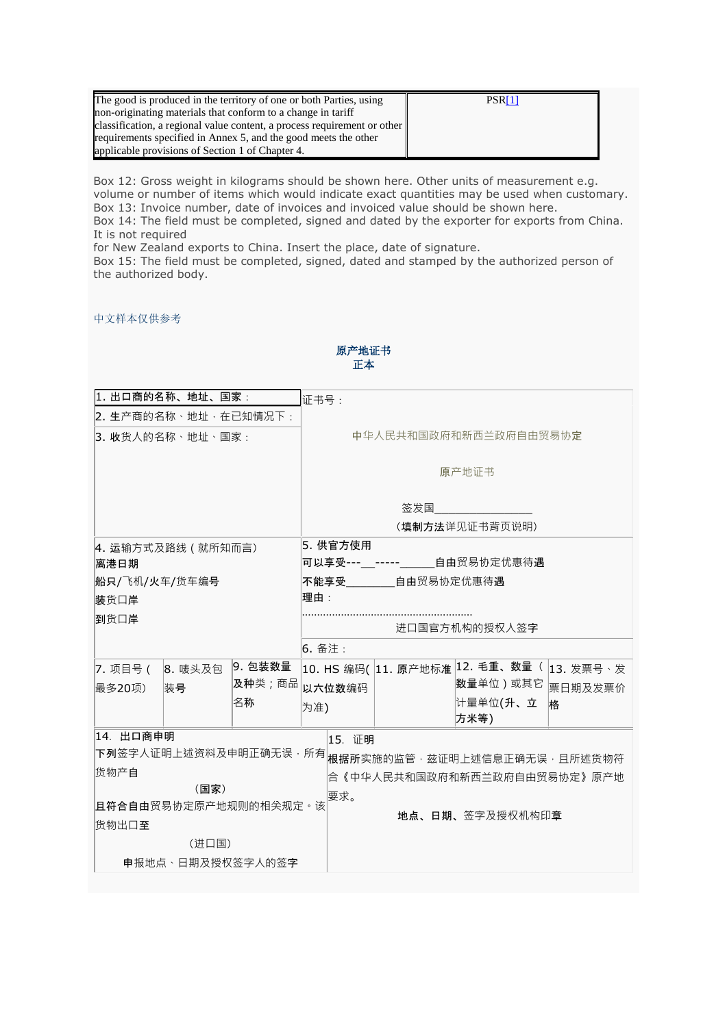| The good is produced in the territory of one or both Parties, using      | PSR <sub>[1]</sub> |
|--------------------------------------------------------------------------|--------------------|
| non-originating materials that conform to a change in tariff             |                    |
| classification, a regional value content, a process requirement or other |                    |
| requirements specified in Annex 5, and the good meets the other          |                    |
| applicable provisions of Section 1 of Chapter 4.                         |                    |

Box 12: Gross weight in kilograms should be shown here. Other units of measurement e.g. volume or number of items which would indicate exact quantities may be used when customary. Box 13: Invoice number, date of invoices and invoiced value should be shown here. Box 14: The field must be completed, signed and dated by the exporter for exports from China. It is not required

for New Zealand exports to China. Insert the place, date of signature.

Box 15: The field must be completed, signed, dated and stamped by the authorized person of the authorized body.

中文样本仅供参考

| 1. 出口商的名称、地址、国家:      |                  |                       | 证书号:                                                   |  |  |
|-----------------------|------------------|-----------------------|--------------------------------------------------------|--|--|
| 2. 生产商的名称、地址, 在已知情况下: |                  |                       |                                                        |  |  |
| 13. 收货人的名称、地址、国家:     |                  |                       | 中华人民共和国政府和新西兰政府自由贸易协定                                  |  |  |
|                       |                  |                       |                                                        |  |  |
|                       |                  |                       | 原产地证书                                                  |  |  |
|                       |                  |                       | 签发国                                                    |  |  |
|                       |                  |                       | (填制方法详见证书背页说明)                                         |  |  |
| 4. 运输方式及路线 (就所知而言)    |                  |                       | 5. 供官方使用                                               |  |  |
| 离港日期                  |                  |                       | 可以享受--- ----- 自由贸易协定优惠待遇                               |  |  |
| 船只/飞机/火车/货车编号         |                  |                       | <b>自由</b> 贸易协定优惠待遇<br>不能享受                             |  |  |
| 装货口岸                  |                  |                       | 理由:                                                    |  |  |
| 到货口岸                  |                  |                       | 进口国官方机构的授权人签字                                          |  |  |
|                       |                  |                       | 6. 备注:                                                 |  |  |
| 7. 项目号(               | 8. 唛头及包          | 9. 包装数量               | 10. HS 编码( 11. 原产地标准 <sup>12.</sup> 毛重、数量 ( 13. 发票号 、发 |  |  |
| 最多20项)                | 装号               | 及种类;商品                | 数量单位)或其它<br>以六位数编码<br>票日期及发票价                          |  |  |
|                       |                  | 名称                    | 计量单位(升、立<br>格<br>为准)                                   |  |  |
|                       |                  |                       | 方米等)                                                   |  |  |
| 14. 出口商申明             |                  |                       | 15. 证明                                                 |  |  |
|                       |                  | 下列签字人证明上述资料及申明正确无误,所有 | 根据所实施的监管,兹证明上述信息正确无误,且所述货物符                            |  |  |
| 货物产自                  |                  |                       | 合《中华人民共和国政府和新西兰政府自由贸易协定》原产地                            |  |  |
|                       | (国家)             |                       | 要求。                                                    |  |  |
| 且符合自由贸易协定原产地规则的相关规定。该 |                  |                       | 地点、日期、签字及授权机构印章                                        |  |  |
|                       | 货物出口至            |                       |                                                        |  |  |
|                       | (进口国)            |                       |                                                        |  |  |
|                       | 申报地点、日期及授权签字人的签字 |                       |                                                        |  |  |

原产地证书 正本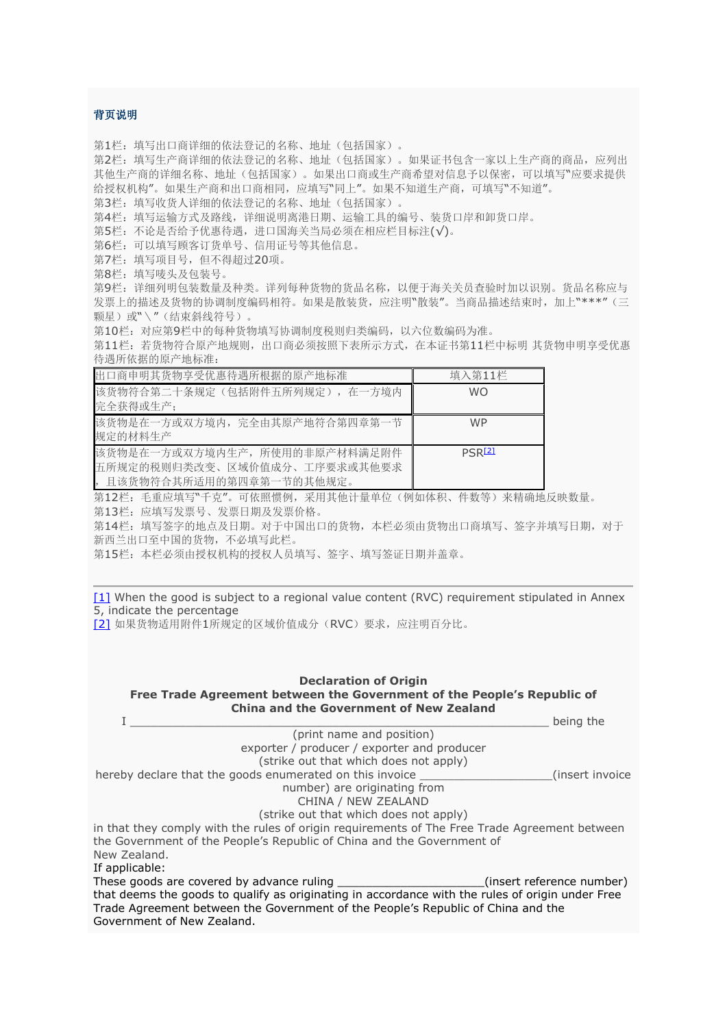## 背页说明

第1栏:填写出口商详细的依法登记的名称、地址(包括国家)。

第2栏:填写生产商详细的依法登记的名称、地址(包括国家)。如果证书包含一家以上生产商的商品,应列出 其他生产商的详细名称、地址(包括国家)。如果出口商或生产商希望对信息予以保密,可以填写"应要求提供 给授权机构"。如果生产商和出口商相同,应填写"同上"。如果不知道生产商,可填写"不知道"。

第3栏:填写收货人详细的依法登记的名称、地址(包括国家)。

第4栏:填写运输方式及路线,详细说明离港日期、运输工具的编号、装货口岸和卸货口岸。

第5栏:不论是否给予优惠待遇,进口国海关当局必须在相应栏目标注(√)。

第6栏:可以填写顾客订货单号、信用证号等其他信息。

第7栏:填写项目号,但不得超过20项。

第8栏:填写唛头及包装号。

第9栏:详细列明包装数量及种类。详列每种货物的货品名称,以便于海关关员查验时加以识别。货品名称应与 发票上的描述及货物的协调制度编码相符。如果是散装货,应注明"散装"。当商品描述结束时,加上"\*\*\*"(三 颗星)或"\"(结束斜线符号)。

第10栏:对应第9栏中的每种货物填写协调制度税则归类编码,以六位数编码为准。

第11栏:若货物符合原产地规则,出口商必须按照下表所示方式,在本证书第11栏中标明 其货物申明享受优惠 待遇所依据的原产地标准:

| 出口商申明其货物享受优惠待遇所根据的原产地标准       | 填入第11栏    |
|-------------------------------|-----------|
| 该货物符合第二十条规定(包括附件五所列规定), 在一方境内 | <b>WO</b> |
| 完全获得或生产:                      |           |
| 该货物是在一方或双方境内,完全由其原产地符合第四章第一节  | <b>WP</b> |
| 规定的材料生产                       |           |
| 该货物是在一方或双方境内生产, 所使用的非原产材料满足附件 | PSR[2]    |
| 五所规定的税则归类改变、区域价值成分、工序要求或其他要求  |           |
| , 且该货物符合其所适用的第四章第一节的其他规定。     |           |

第12栏:毛重应填写"千克"。可依照惯例,采用其他计量单位(例如体积、件数等)来精确地反映数量。

第13栏:应填写发票号、发票日期及发票价格。

第14栏:填写签字的地点及日期。对于中国出口的货物,本栏必须由货物出口商填写、签字并填写日期,对于 新西兰出口至中国的货物,不必填写此栏。

第15栏:本栏必须由授权机构的授权人员填写、签字、填写签证日期并盖章。

[\[1\]](http://english.customs.gov.cn/publish/portal191/tab3972/module21538/info174200.htm#_ftnref1) When the good is subject to a regional value content (RVC) requirement stipulated in Annex

5, indicate the percentage

[\[2\]](http://english.customs.gov.cn/publish/portal191/tab3972/module21538/info174200.htm#_ftnref2) 如果货物适用附件1所规定的区域价值成分(RVC)要求,应注明百分比。

# **Declaration of Origin**

**Free Trade Agreement between the Government of the People's Republic of China and the Government of New Zealand**

|                                                                                                  | being the                 |
|--------------------------------------------------------------------------------------------------|---------------------------|
| (print name and position)                                                                        |                           |
| exporter / producer / exporter and producer                                                      |                           |
| (strike out that which does not apply)                                                           |                           |
| hereby declare that the goods enumerated on this invoice                                         | (insert invoice)          |
| number) are originating from                                                                     |                           |
| CHINA / NEW ZEALAND                                                                              |                           |
| (strike out that which does not apply)                                                           |                           |
| in that they comply with the rules of origin reguirements of The Free Trade Agreement between    |                           |
| the Government of the People's Republic of China and the Government of                           |                           |
| New Zealand.                                                                                     |                           |
| If applicable:                                                                                   |                           |
| These goods are covered by advance ruling                                                        | (insert reference number) |
| that deems the goods to qualify as originating in accordance with the rules of origin under Free |                           |
| Trade Agreement between the Government of the People's Republic of China and the                 |                           |
| Government of New Zealand.                                                                       |                           |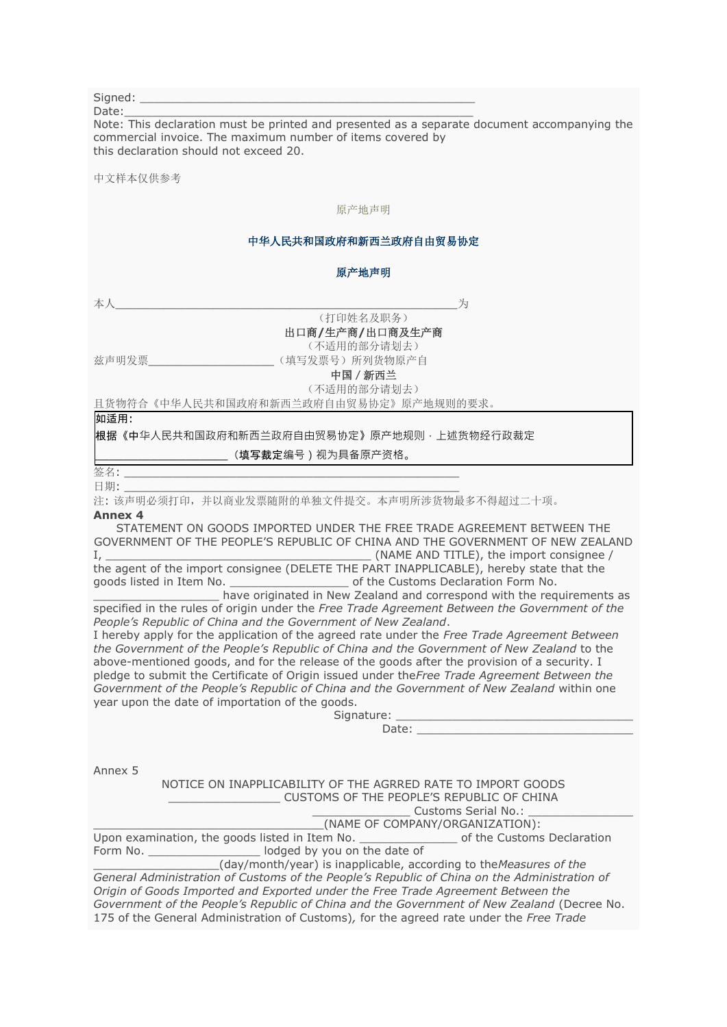| Signed: |  |
|---------|--|
|         |  |

Date:\_\_\_\_\_\_\_\_\_\_\_\_\_\_\_\_\_\_\_\_\_\_\_\_\_\_\_\_\_\_\_\_\_\_\_\_\_\_\_\_\_\_\_\_\_\_\_\_\_\_

Note: This declaration must be printed and presented as a separate document accompanying the commercial invoice. The maximum number of items covered by this declaration should not exceed 20.

中文样本仅供参考

#### 原产地声明

## 中华人民共和国政府和新西兰政府自由贸易协定

### 原产地声明

本人\_\_\_\_\_\_\_\_\_\_\_\_\_\_\_\_\_\_\_\_\_\_\_\_\_\_\_\_\_\_\_\_\_\_\_\_\_\_\_\_\_\_\_\_\_\_\_\_\_为

(打印姓名及职务)

出口商**/**生产商**/**出口商及生产商

(不适用的部分请划去)

兹声明发票\_\_\_\_\_\_\_\_\_\_\_\_\_\_\_\_\_\_\_\_\_\_\_\_\_\_\_\_\_\_\_\_\_(填写发票号)所列货物原产自

中国/新西兰 (不适用的部分请划去)

且货物符合《中华人民共和国政府和新西兰政府自由贸易协定》原产地规则的要求。

#### 如适用:

根据《中华人民共和国政府和新西兰政府自由贸易协定》原产地规则,上述货物经行政裁定

(填写裁定编号) 视为具备原产资格。

签名: \_\_\_\_\_\_\_\_\_\_\_\_\_\_\_\_\_\_\_\_\_\_\_\_\_\_\_\_\_\_\_\_\_\_\_\_\_\_\_\_\_\_\_\_\_\_\_\_ 日期: \_\_\_\_\_\_\_\_\_\_\_\_\_\_\_\_\_\_\_\_\_\_\_\_\_\_\_\_\_\_\_\_\_\_\_\_\_\_\_\_\_\_\_\_\_\_\_\_

注: 该声明必须打印,并以商业发票随附的单独文件提交。本声明所涉货物最多不得超过二十项。

#### **Annex 4**

STATEMENT ON GOODS IMPORTED UNDER THE FREE TRADE AGREEMENT BETWEEN THE GOVERNMENT OF THE PEOPLE'S REPUBLIC OF CHINA AND THE GOVERNMENT OF NEW ZEALAND I, \_\_\_\_\_\_\_\_\_\_\_\_\_\_\_\_\_\_\_\_\_\_\_\_\_\_\_\_\_\_\_\_\_\_\_\_\_\_ (NAME AND TITLE), the import consignee /

the agent of the import consignee (DELETE THE PART INAPPLICABLE), hereby state that the goods listed in Item No. \_\_\_\_\_\_\_\_\_\_\_\_\_\_\_\_\_ of the Customs Declaration Form No.

have originated in New Zealand and correspond with the requirements as specified in the rules of origin under the *Free Trade Agreement Between the Government of the People's Republic of China and the Government of New Zealand*.

I hereby apply for the application of the agreed rate under the *Free Trade Agreement Between the Government of the People's Republic of China and the Government of New Zealand* to the above-mentioned goods, and for the release of the goods after the provision of a security. I pledge to submit the Certificate of Origin issued under the*Free Trade Agreement Between the Government of the People's Republic of China and the Government of New Zealand* within one year upon the date of importation of the goods.

| Signature: |  |  |  |  |  |
|------------|--|--|--|--|--|
|            |  |  |  |  |  |

Date:

Annex 5

NOTICE ON INAPPLICABILITY OF THE AGRRED RATE TO IMPORT GOODS \_\_\_\_\_\_\_\_\_\_\_\_\_\_\_\_ CUSTOMS OF THE PEOPLE'S REPUBLIC OF CHINA \_\_\_\_\_\_\_\_\_\_\_\_\_\_ Customs Serial No.: \_\_\_\_\_\_\_\_\_\_\_\_\_\_\_

|  | CUSCOTITS SCITCH IVOIT<br>(NAME OF COMPANY/ORGANIZATION): |
|--|-----------------------------------------------------------|

Upon examination, the goods listed in Item No. \_\_\_\_\_\_\_\_\_\_\_\_\_\_ of the Customs Declaration Form No. \_\_\_\_\_\_\_\_\_\_\_\_\_\_\_\_\_\_\_\_ lodged by you on the date of

\_\_\_\_\_\_\_\_\_\_\_\_\_\_\_\_\_\_(day/month/year) is inapplicable, according to the*Measures of the General Administration of Customs of the People's Republic of China on the Administration of Origin of Goods Imported and Exported under the Free Trade Agreement Between the Government of the People's Republic of China and the Government of New Zealand* (Decree No. 175 of the General Administration of Customs)*,* for the agreed rate under the *Free Trade*